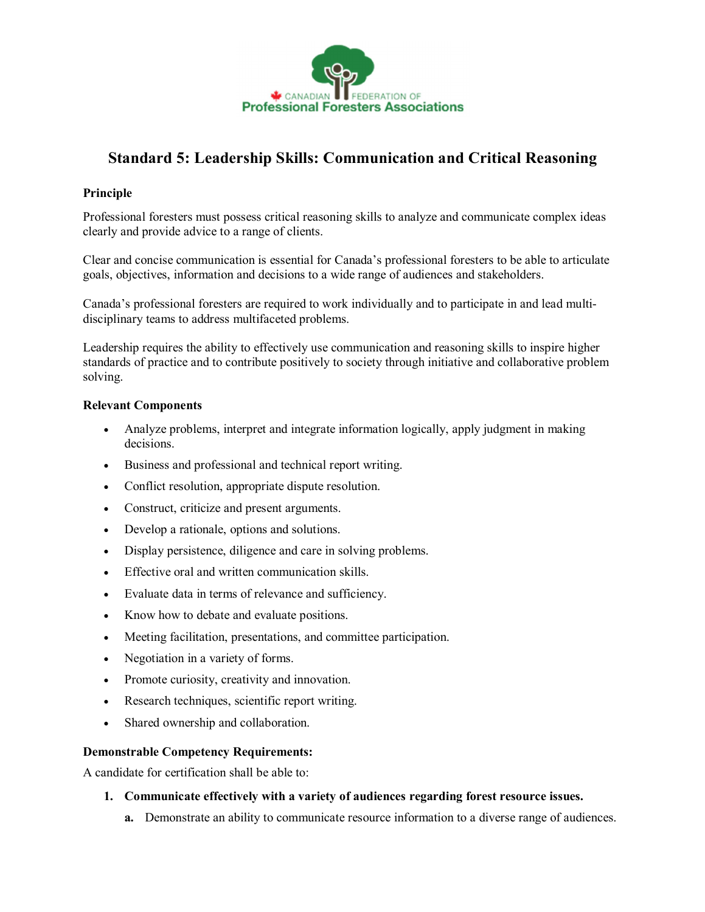

## **Standard 5: Leadership Skills: Communication and Critical Reasoning**

## **Principle**

Professional foresters must possess critical reasoning skills to analyze and communicate complex ideas clearly and provide advice to a range of clients.

Clear and concise communication is essential for Canada's professional foresters to be able to articulate goals, objectives, information and decisions to a wide range of audiences and stakeholders.

Canada's professional foresters are required to work individually and to participate in and lead multi disciplinary teams to address multifaceted problems.

Leadership requires the ability to effectively use communication and reasoning skills to inspire higher standards of practice and to contribute positively to society through initiative and collaborative problem solving.

## **Relevant Components**

- · Analyze problems, interpret and integrate information logically, apply judgment in making decisions.
- · Business and professional and technical report writing.
- · Conflict resolution, appropriate dispute resolution.
- · Construct, criticize and present arguments.
- · Develop a rationale, options and solutions.
- · Display persistence, diligence and care in solving problems.
- · Effective oral and written communication skills.
- · Evaluate data in terms of relevance and sufficiency.
- · Know how to debate and evaluate positions.
- · Meeting facilitation, presentations, and committee participation.
- · Negotiation in a variety of forms.
- · Promote curiosity, creativity and innovation.
- · Research techniques, scientific report writing.
- · Shared ownership and collaboration.

## **Demonstrable Competency Requirements:**

A candidate for certification shall be able to:

- **1. Communicate effectively with a variety of audiences regarding forest resource issues.**
	- **a.** Demonstrate an ability to communicate resource information to a diverse range of audiences.